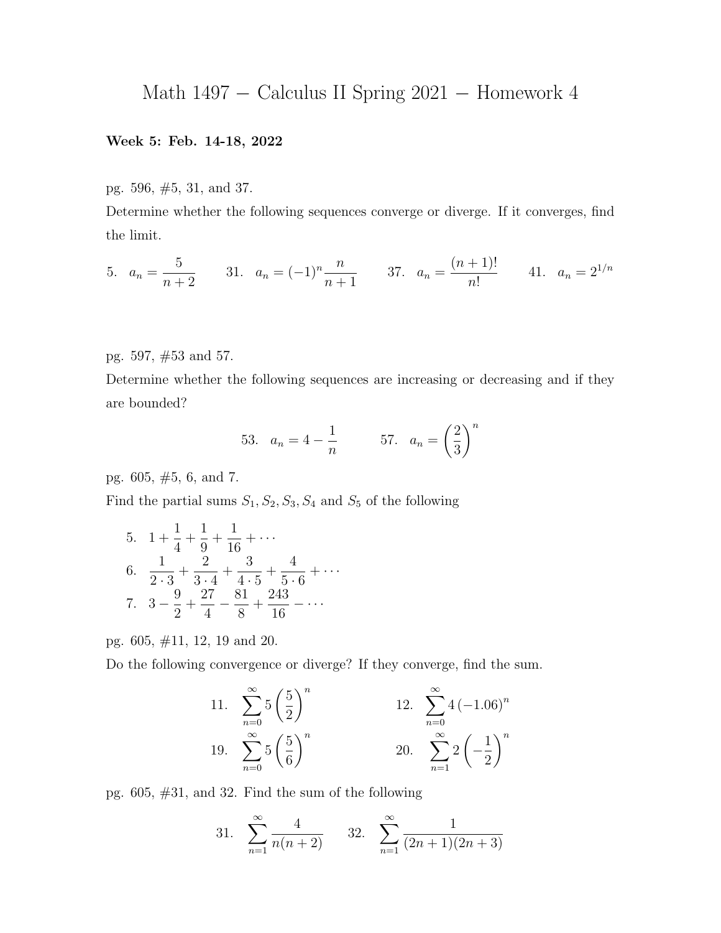## Math 1497 − Calculus II Spring 2021 − Homework 4

## Week 5: Feb. 14-18, 2022

pg. 596, #5, 31, and 37.

Determine whether the following sequences converge or diverge. If it converges, find the limit.

5. 
$$
a_n = \frac{5}{n+2}
$$
 31.  $a_n = (-1)^n \frac{n}{n+1}$  37.  $a_n = \frac{(n+1)!}{n!}$  41.  $a_n = 2^{1/n}$ 

pg. 597, #53 and 57.

Determine whether the following sequences are increasing or decreasing and if they are bounded?

53. 
$$
a_n = 4 - \frac{1}{n}
$$
 57.  $a_n = \left(\frac{2}{3}\right)^n$ 

pg. 605, #5, 6, and 7.

Find the partial sums  $S_1, S_2, S_3, S_4$  and  $S_5$  of the following

5. 
$$
1 + \frac{1}{4} + \frac{1}{9} + \frac{1}{16} + \cdots
$$
  
\n6.  $\frac{1}{2 \cdot 3} + \frac{2}{3 \cdot 4} + \frac{3}{4 \cdot 5} + \frac{4}{5 \cdot 6} + \cdots$   
\n7.  $3 - \frac{9}{2} + \frac{27}{4} - \frac{81}{8} + \frac{243}{16} - \cdots$ 

pg. 605, #11, 12, 19 and 20.

Do the following convergence or diverge? If they converge, find the sum.

11. 
$$
\sum_{n=0}^{\infty} 5\left(\frac{5}{2}\right)^n
$$
  
12.  $\sum_{n=0}^{\infty} 4\left(-1.06\right)^n$   
19.  $\sum_{n=0}^{\infty} 5\left(\frac{5}{6}\right)^n$   
20.  $\sum_{n=1}^{\infty} 2\left(-\frac{1}{2}\right)^n$ 

pg. 605, #31, and 32. Find the sum of the following

31. 
$$
\sum_{n=1}^{\infty} \frac{4}{n(n+2)}
$$
 32. 
$$
\sum_{n=1}^{\infty} \frac{1}{(2n+1)(2n+3)}
$$